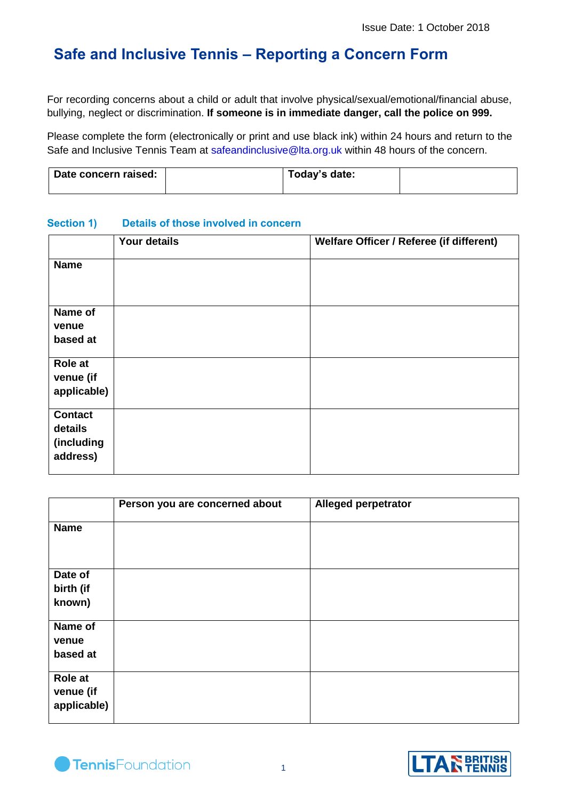# **Safe and Inclusive Tennis – Reporting a Concern Form**

For recording concerns about a child or adult that involve physical/sexual/emotional/financial abuse, bullying, neglect or discrimination. **If someone is in immediate danger, call the police on 999.**

Please complete the form (electronically or print and use black ink) within 24 hours and return to the Safe and Inclusive Tennis Team at [safeandinclusive@lta.org.uk](mailto:safeandinclusive@lta.org.uk) within 48 hours of the concern.

| Date concern raised: | Today's date: |  |
|----------------------|---------------|--|
|                      |               |  |

#### **Section 1) Details of those involved in concern**

|                                                     | Your details | Welfare Officer / Referee (if different) |
|-----------------------------------------------------|--------------|------------------------------------------|
| <b>Name</b>                                         |              |                                          |
| Name of<br>venue<br>based at                        |              |                                          |
| <b>Role at</b><br>venue (if<br>applicable)          |              |                                          |
| <b>Contact</b><br>details<br>(including<br>address) |              |                                          |

|                                     | Person you are concerned about | <b>Alleged perpetrator</b> |
|-------------------------------------|--------------------------------|----------------------------|
| <b>Name</b>                         |                                |                            |
| Date of<br>birth (if<br>known)      |                                |                            |
| Name of<br>venue<br>based at        |                                |                            |
| Role at<br>venue (if<br>applicable) |                                |                            |



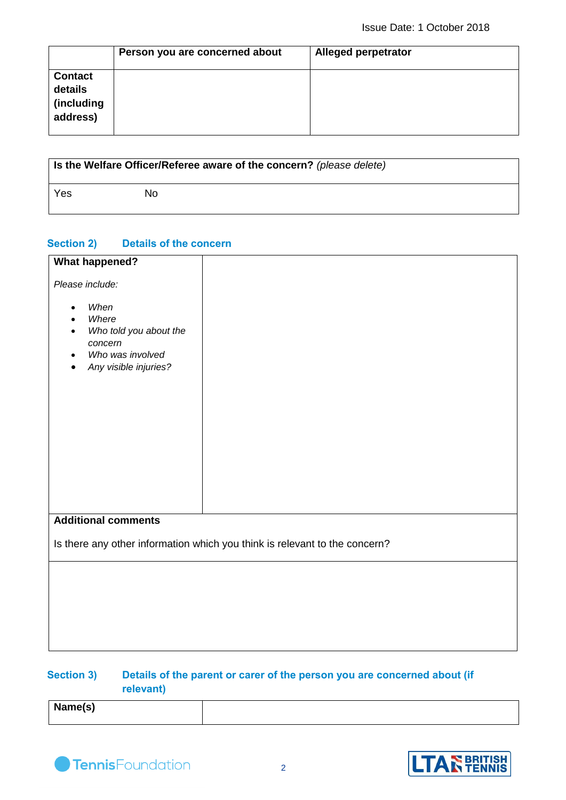|                                                     | Person you are concerned about | <b>Alleged perpetrator</b> |
|-----------------------------------------------------|--------------------------------|----------------------------|
| <b>Contact</b><br>details<br>(including<br>address) |                                |                            |

|     |    | Is the Welfare Officer/Referee aware of the concern? (please delete) |
|-----|----|----------------------------------------------------------------------|
| Yes | Nο |                                                                      |

#### **Section 2) Details of the concern**

| <b>What happened?</b>                                                                                                                |                                                                            |
|--------------------------------------------------------------------------------------------------------------------------------------|----------------------------------------------------------------------------|
| Please include:<br>When<br>Where<br>Who told you about the<br>concern<br>Who was involved<br>٠<br>Any visible injuries?<br>$\bullet$ |                                                                            |
|                                                                                                                                      |                                                                            |
| <b>Additional comments</b>                                                                                                           |                                                                            |
|                                                                                                                                      | Is there any other information which you think is relevant to the concern? |
|                                                                                                                                      |                                                                            |
|                                                                                                                                      |                                                                            |
|                                                                                                                                      |                                                                            |
|                                                                                                                                      |                                                                            |
|                                                                                                                                      |                                                                            |

### Section 3) Details of the parent or carer of the person you are concerned about (if **relevant)**

**Name(s)**